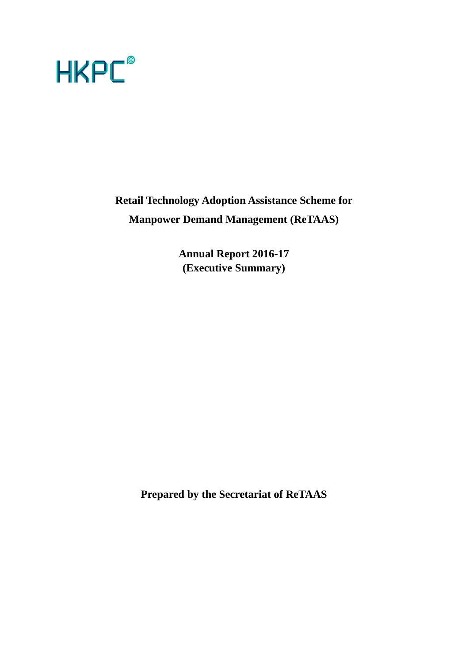

**Retail Technology Adoption Assistance Scheme for Manpower Demand Management (ReTAAS)**

> **Annual Report 2016-17 (Executive Summary)**

**Prepared by the Secretariat of ReTAAS**